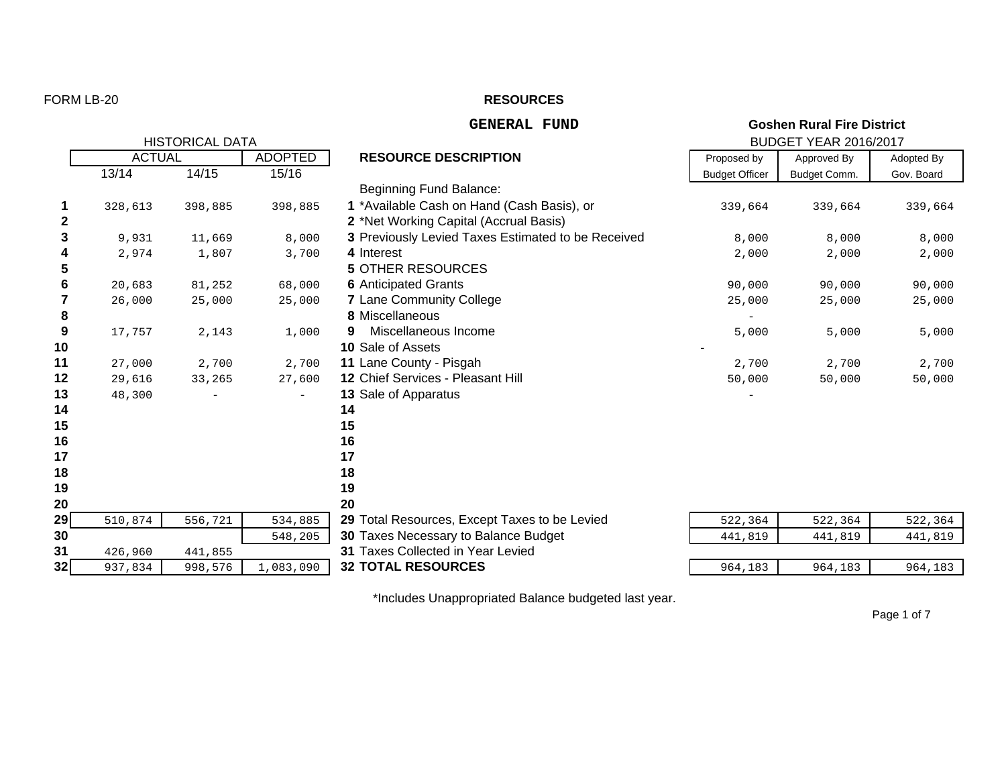### FORM LB-20

#### **RESOURCES**

#### **GENERAL FUND**

|                  | <b>HISTORICAL DATA</b> |         |                          |                                                    |                       | <b>BUDGET YEAR 2016/2017</b> |            |  |  |  |
|------------------|------------------------|---------|--------------------------|----------------------------------------------------|-----------------------|------------------------------|------------|--|--|--|
|                  | <b>ACTUAL</b>          |         | <b>ADOPTED</b>           | <b>RESOURCE DESCRIPTION</b>                        | Proposed by           | Approved By                  | Adopted By |  |  |  |
|                  | 13/14                  | 14/15   | 15/16                    |                                                    | <b>Budget Officer</b> | Budget Comm.                 | Gov. Board |  |  |  |
|                  |                        |         |                          | Beginning Fund Balance:                            |                       |                              |            |  |  |  |
| 1                | 328,613                | 398,885 | 398,885                  | 1 *Available Cash on Hand (Cash Basis), or         | 339,664               | 339,664                      | 339,664    |  |  |  |
| $\boldsymbol{2}$ |                        |         |                          | 2 *Net Working Capital (Accrual Basis)             |                       |                              |            |  |  |  |
| 3                | 9,931                  | 11,669  | 8,000                    | 3 Previously Levied Taxes Estimated to be Received | 8,000                 | 8,000                        | 8,000      |  |  |  |
| 4                | 2,974                  | 1,807   | 3,700                    | 4 Interest                                         | 2,000                 | 2,000                        | 2,000      |  |  |  |
| $5\phantom{.0}$  |                        |         |                          | <b>5 OTHER RESOURCES</b>                           |                       |                              |            |  |  |  |
| 6                | 20,683                 | 81,252  | 68,000                   | <b>6</b> Anticipated Grants                        | 90,000                | 90,000                       | 90,000     |  |  |  |
| $\overline{7}$   | 26,000                 | 25,000  | 25,000                   | <b>7</b> Lane Community College                    | 25,000                | 25,000                       | 25,000     |  |  |  |
| 8                |                        |         |                          | 8 Miscellaneous                                    |                       |                              |            |  |  |  |
| 9                | 17,757                 | 2,143   | 1,000                    | Miscellaneous Income<br>9                          | 5,000                 | 5,000                        | 5,000      |  |  |  |
| 10               |                        |         |                          | <b>10 Sale of Assets</b>                           |                       |                              |            |  |  |  |
| 11               | 27,000                 | 2,700   | 2,700                    | 11 Lane County - Pisgah                            | 2,700                 | 2,700                        | 2,700      |  |  |  |
| 12               | 29,616                 | 33,265  | 27,600                   | 12 Chief Services - Pleasant Hill                  | 50,000                | 50,000                       | 50,000     |  |  |  |
| 13               | 48,300                 |         | $\overline{\phantom{a}}$ | 13 Sale of Apparatus                               |                       |                              |            |  |  |  |
| 14               |                        |         |                          | 14                                                 |                       |                              |            |  |  |  |
| 15               |                        |         |                          | 15                                                 |                       |                              |            |  |  |  |
| 16               |                        |         |                          | 16                                                 |                       |                              |            |  |  |  |
| 17               |                        |         |                          | 17                                                 |                       |                              |            |  |  |  |
| 18               |                        |         |                          | 18                                                 |                       |                              |            |  |  |  |
| 19               |                        |         |                          | 19                                                 |                       |                              |            |  |  |  |
| 20               |                        |         |                          | 20                                                 |                       |                              |            |  |  |  |
| 29               | 510,874                | 556,721 | 534,885                  | 29 Total Resources, Except Taxes to be Levied      | 522,364               | 522,364                      | 522,364    |  |  |  |
| 30               |                        |         | 548,205                  | 30 Taxes Necessary to Balance Budget               | 441,819               | 441,819                      | 441,819    |  |  |  |
| 31               | 426,960                | 441,855 |                          | 31 Taxes Collected in Year Levied                  |                       |                              |            |  |  |  |
| 32               | 937,834                | 998,576 | 1,083,090                | <b>32 TOTAL RESOURCES</b>                          | 964,183               | 964,183                      | 964,183    |  |  |  |

\*Includes Unappropriated Balance budgeted last year.

Page 1 of 7

**Goshen Rural Fire District**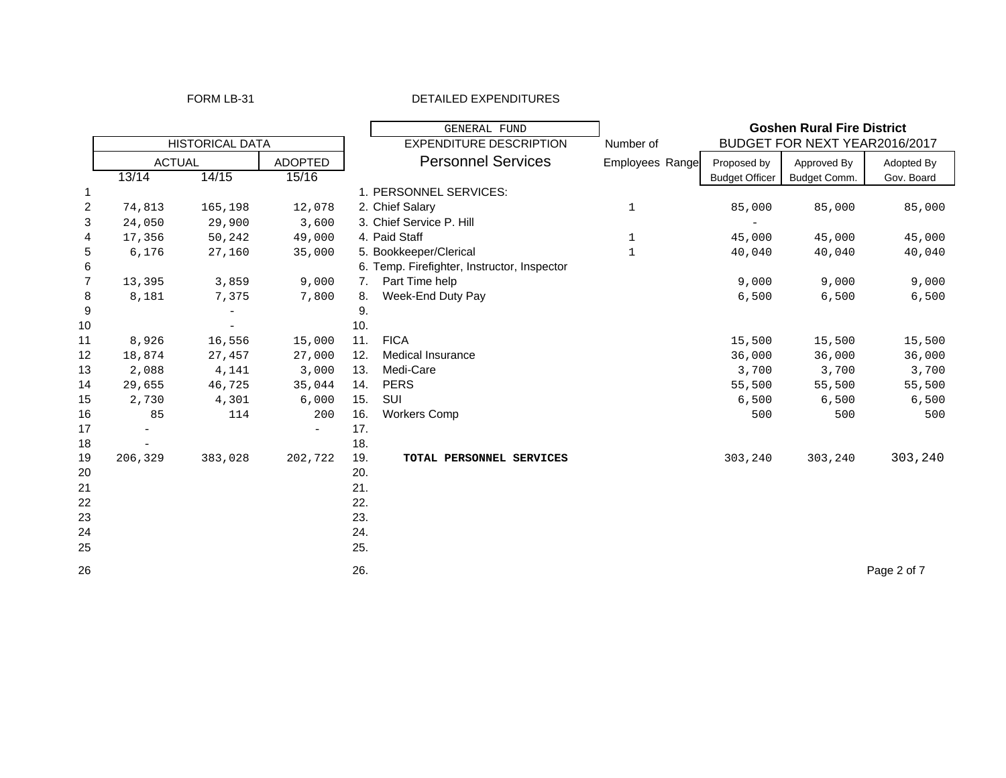#### FORM LB-31 DETAILED EXPENDITURES

|                |                        |         |                | GENERAL FUND |                                              |              |                       | <b>Goshen Rural Fire District</b> |             |
|----------------|------------------------|---------|----------------|--------------|----------------------------------------------|--------------|-----------------------|-----------------------------------|-------------|
|                | <b>HISTORICAL DATA</b> |         |                |              | <b>EXPENDITURE DESCRIPTION</b>               | Number of    |                       | BUDGET FOR NEXT YEAR2016/2017     |             |
|                | <b>ACTUAL</b>          |         | <b>ADOPTED</b> |              | <b>Personnel Services</b><br>Employees Range |              | Proposed by           | Approved By                       | Adopted By  |
|                | 13/14                  | 14/15   | 15/16          |              |                                              |              | <b>Budget Officer</b> | Budget Comm.                      | Gov. Board  |
| 1              |                        |         |                |              | 1. PERSONNEL SERVICES:                       |              |                       |                                   |             |
| $\overline{2}$ | 74,813                 | 165,198 | 12,078         |              | 2. Chief Salary                              | 1            | 85,000                | 85,000                            | 85,000      |
| 3              | 24,050                 | 29,900  | 3,600          |              | 3. Chief Service P. Hill                     |              |                       |                                   |             |
| 4              | 17,356                 | 50,242  | 49,000         |              | 4. Paid Staff                                | 1            | 45,000                | 45,000                            | 45,000      |
| 5              | 6,176                  | 27,160  | 35,000         |              | 5. Bookkeeper/Clerical                       | $\mathbf{1}$ | 40,040                | 40,040                            | 40,040      |
| 6              |                        |         |                |              | 6. Temp. Firefighter, Instructor, Inspector  |              |                       |                                   |             |
| $\overline{7}$ | 13,395                 | 3,859   | 9,000          | 7.           | Part Time help                               |              | 9,000                 | 9,000                             | 9,000       |
| 8              | 8,181                  | 7,375   | 7,800          | 8.           | Week-End Duty Pay                            |              | 6,500                 | 6,500                             | 6,500       |
| 9              |                        |         |                | 9.           |                                              |              |                       |                                   |             |
| 10             |                        |         |                | 10.          |                                              |              |                       |                                   |             |
| 11             | 8,926                  | 16,556  | 15,000         | 11.          | <b>FICA</b>                                  |              | 15,500                | 15,500                            | 15,500      |
| 12             | 18,874                 | 27,457  | 27,000         | 12.          | Medical Insurance                            |              | 36,000                | 36,000                            | 36,000      |
| 13             | 2,088                  | 4,141   | 3,000          | 13.          | Medi-Care                                    |              | 3,700                 | 3,700                             | 3,700       |
| 14             | 29,655                 | 46,725  | 35,044         | 14.          | <b>PERS</b>                                  |              | 55,500                | 55,500                            | 55,500      |
| 15             | 2,730                  | 4,301   | 6,000          | 15.          | SUI                                          |              | 6,500                 | 6,500                             | 6,500       |
| 16             | 85                     | 114     | 200            | 16.          | <b>Workers Comp</b>                          |              | 500                   | 500                               | 500         |
| 17             |                        |         | $-$            | 17.          |                                              |              |                       |                                   |             |
| 18             |                        |         |                | 18.          |                                              |              |                       |                                   |             |
| 19             | 206,329                | 383,028 | 202,722        | 19.          | TOTAL PERSONNEL SERVICES                     |              | 303,240               | 303,240                           | 303,240     |
| 20             |                        |         |                | 20.          |                                              |              |                       |                                   |             |
| 21             |                        |         |                | 21.          |                                              |              |                       |                                   |             |
| 22             |                        |         |                | 22.          |                                              |              |                       |                                   |             |
| 23             |                        |         |                | 23.          |                                              |              |                       |                                   |             |
| 24             |                        |         |                | 24.          |                                              |              |                       |                                   |             |
| 25             |                        |         |                | 25.          |                                              |              |                       |                                   |             |
| 26             |                        |         |                | 26.          |                                              |              |                       |                                   | Page 2 of 7 |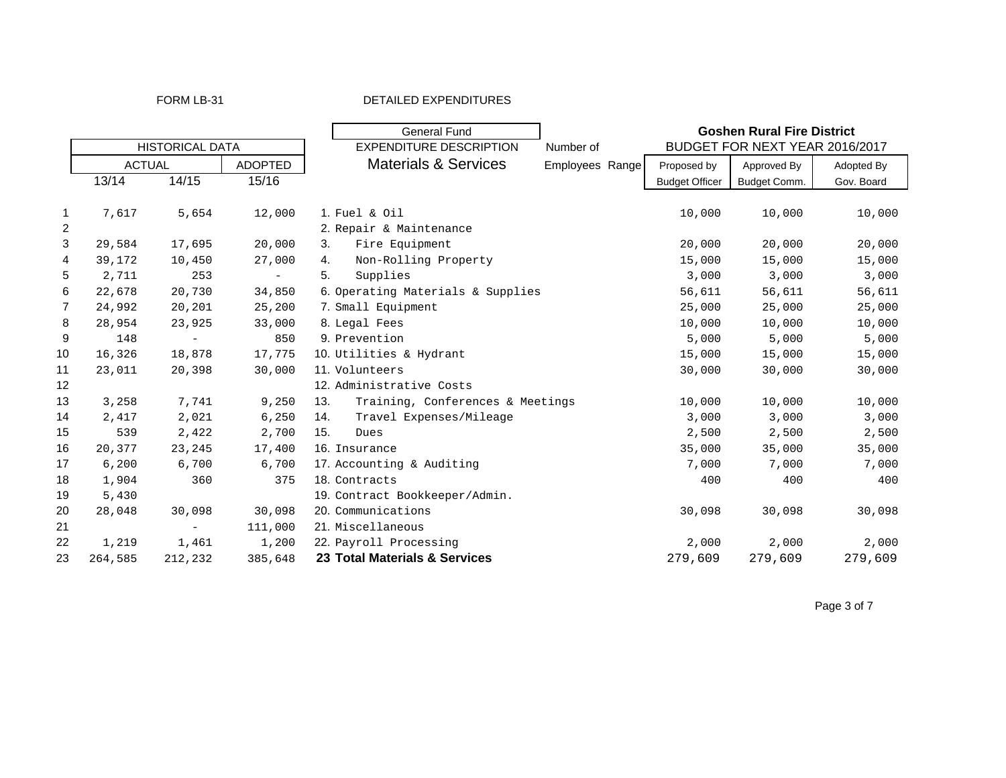### FORM LB-31 DETAILED EXPENDITURES

|                |               |                          |                |     | <b>General Fund</b>               |                 |                       | <b>Goshen Rural Fire District</b> |            |
|----------------|---------------|--------------------------|----------------|-----|-----------------------------------|-----------------|-----------------------|-----------------------------------|------------|
|                |               | <b>HISTORICAL DATA</b>   |                |     | <b>EXPENDITURE DESCRIPTION</b>    | Number of       |                       | BUDGET FOR NEXT YEAR 2016/2017    |            |
|                | <b>ACTUAL</b> |                          | <b>ADOPTED</b> |     | <b>Materials &amp; Services</b>   | Employees Range | Proposed by           | Approved By                       | Adopted By |
|                | 13/14         | 14/15                    | 15/16          |     |                                   |                 | <b>Budget Officer</b> | Budget Comm.                      | Gov. Board |
|                |               |                          |                |     |                                   |                 |                       |                                   |            |
| -1             | 7,617         | 5,654                    | 12,000         |     | 1. Fuel & Oil                     |                 | 10,000                | 10,000                            | 10,000     |
| $\overline{c}$ |               |                          |                |     | 2. Repair & Maintenance           |                 |                       |                                   |            |
| 3              | 29,584        | 17,695                   | 20,000         | 3.  | Fire Equipment                    |                 | 20,000                | 20,000                            | 20,000     |
| $\overline{4}$ | 39,172        | 10,450                   | 27,000         | 4.  | Non-Rolling Property              |                 | 15,000                | 15,000                            | 15,000     |
| 5              | 2,711         | 253                      | $\sim$         | 5.  | Supplies                          |                 | 3,000                 | 3,000                             | 3,000      |
| 6              | 22,678        | 20,730                   | 34,850         |     | 6. Operating Materials & Supplies |                 | 56,611                | 56,611                            | 56,611     |
| $\overline{7}$ | 24,992        | 20,201                   | 25,200         |     | 7. Small Equipment                |                 | 25,000                | 25,000                            | 25,000     |
| 8              | 28,954        | 23,925                   | 33,000         |     | 8. Legal Fees                     |                 | 10,000                | 10,000                            | 10,000     |
| 9              | 148           | $\sim$                   | 850            |     | 9. Prevention                     |                 | 5,000                 | 5,000                             | 5,000      |
| 10             | 16,326        | 18,878                   | 17,775         |     | 10. Utilities & Hydrant           |                 | 15,000                | 15,000                            | 15,000     |
| 11             | 23,011        | 20,398                   | 30,000         |     | 11. Volunteers                    |                 | 30,000                | 30,000                            | 30,000     |
| 12             |               |                          |                |     | 12. Administrative Costs          |                 |                       |                                   |            |
| 13             | 3,258         | 7,741                    | 9,250          | 13. | Training, Conferences & Meetings  |                 | 10,000                | 10,000                            | 10,000     |
| 14             | 2,417         | 2,021                    | 6,250          | 14. | Travel Expenses/Mileage           |                 | 3,000                 | 3,000                             | 3,000      |
| 15             | 539           | 2,422                    | 2,700          | 15. | Dues                              |                 | 2,500                 | 2,500                             | 2,500      |
| 16             | 20,377        | 23,245                   | 17,400         |     | 16. Insurance                     |                 | 35,000                | 35,000                            | 35,000     |
| 17             | 6,200         | 6,700                    | 6,700          |     | 17. Accounting & Auditing         |                 | 7,000                 | 7,000                             | 7,000      |
| 18             | 1,904         | 360                      | 375            |     | 18. Contracts                     |                 | 400                   | 400                               | 400        |
| 19             | 5,430         |                          |                |     | 19. Contract Bookkeeper/Admin.    |                 |                       |                                   |            |
| 20             | 28,048        | 30,098                   | 30,098         |     | 20. Communications                |                 | 30,098                | 30,098                            | 30,098     |
| 21             |               | $\overline{\phantom{m}}$ | 111,000        |     | 21. Miscellaneous                 |                 |                       |                                   |            |
| 22             | 1,219         | 1,461                    | 1,200          |     | 22. Payroll Processing            |                 | 2,000                 | 2,000                             | 2,000      |
| 23             | 264,585       | 212,232                  | 385,648        |     | 23 Total Materials & Services     |                 | 279,609               | 279,609                           | 279,609    |

Page 3 of 7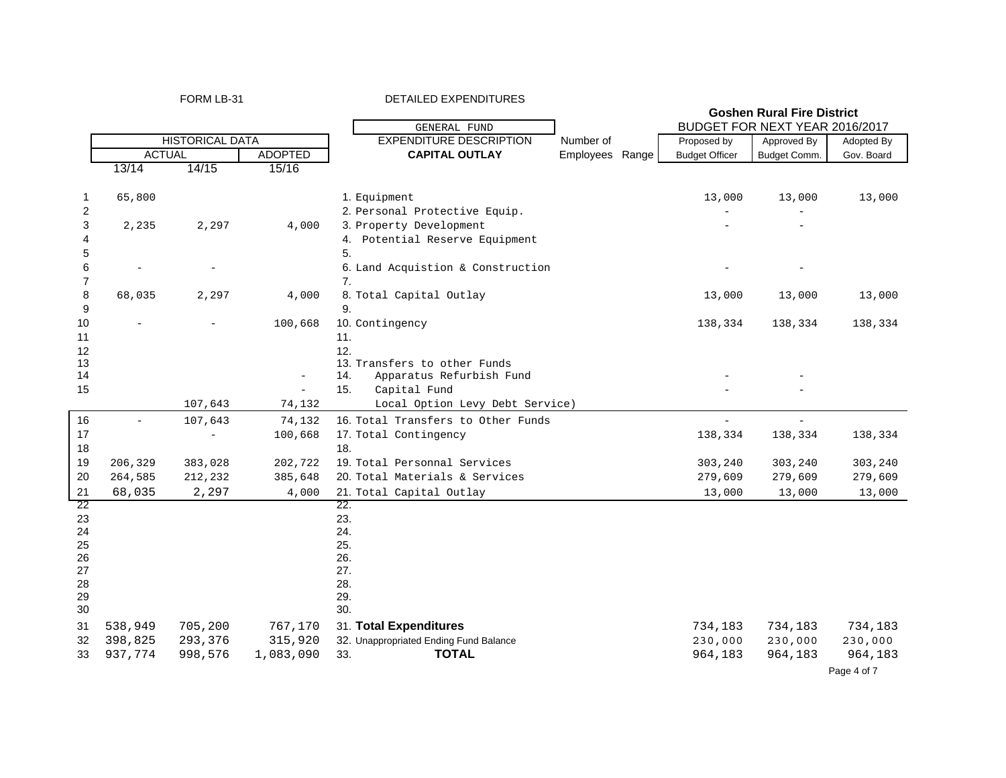| FORM LB-31 |  |
|------------|--|
|------------|--|

 $\mathbf{r}$ 

FORM LB-31 DETAILED EXPENDITURES

|                |                        |         |                          |                                        | <b>Goshen Rural Fire District</b> |  |                       |                                |            |
|----------------|------------------------|---------|--------------------------|----------------------------------------|-----------------------------------|--|-----------------------|--------------------------------|------------|
|                |                        |         |                          | <b>GENERAL FUND</b>                    |                                   |  |                       | BUDGET FOR NEXT YEAR 2016/2017 |            |
|                | <b>HISTORICAL DATA</b> |         |                          | <b>EXPENDITURE DESCRIPTION</b>         | Number of                         |  | Proposed by           | Approved By                    | Adopted By |
|                | <b>ACTUAL</b>          |         | <b>ADOPTED</b>           | <b>CAPITAL OUTLAY</b>                  | Employees Range                   |  | <b>Budget Officer</b> | Budget Comm.                   | Gov. Board |
|                | 13/14                  | 14/15   | 15/16                    |                                        |                                   |  |                       |                                |            |
|                |                        |         |                          |                                        |                                   |  |                       |                                |            |
| 1              | 65,800                 |         |                          | 1. Equipment                           |                                   |  | 13,000                | 13,000                         | 13,000     |
| 2              |                        |         |                          | 2. Personal Protective Equip.          |                                   |  |                       |                                |            |
| 3              | 2,235                  | 2,297   | 4,000                    | 3. Property Development                |                                   |  |                       |                                |            |
| 4              |                        |         |                          | 4. Potential Reserve Equipment         |                                   |  |                       |                                |            |
| 5              |                        |         |                          | 5.                                     |                                   |  |                       |                                |            |
| 6              |                        |         |                          | 6. Land Acquistion & Construction      |                                   |  |                       |                                |            |
| $\overline{7}$ |                        |         |                          | 7.                                     |                                   |  |                       |                                |            |
| 8              | 68,035                 | 2,297   | 4,000                    | 8. Total Capital Outlay                |                                   |  | 13,000                | 13,000                         | 13,000     |
| 9              |                        |         |                          | 9.                                     |                                   |  |                       |                                |            |
| 10             |                        |         | 100,668                  | 10. Contingency                        |                                   |  | 138,334               | 138,334                        | 138,334    |
| 11             |                        |         |                          | 11.                                    |                                   |  |                       |                                |            |
| 12             |                        |         |                          | 12.                                    |                                   |  |                       |                                |            |
| 13             |                        |         |                          | 13. Transfers to other Funds           |                                   |  |                       |                                |            |
| 14             |                        |         | $\overline{\phantom{a}}$ | 14.<br>Apparatus Refurbish Fund        |                                   |  |                       |                                |            |
| 15             |                        |         |                          | 15.<br>Capital Fund                    |                                   |  |                       |                                |            |
|                |                        | 107,643 | 74,132                   | Local Option Levy Debt Service)        |                                   |  |                       |                                |            |
| 16             |                        | 107,643 | 74,132                   | 16. Total Transfers to Other Funds     |                                   |  | $\overline{a}$        | $\overline{a}$                 |            |
| 17             |                        |         | 100,668                  | 17. Total Contingency                  |                                   |  | 138,334               | 138,334                        | 138,334    |
| 18             |                        |         |                          | 18.                                    |                                   |  |                       |                                |            |
| 19             | 206,329                | 383,028 | 202,722                  | 19. Total Personnal Services           |                                   |  | 303,240               | 303,240                        | 303,240    |
| 20             | 264,585                | 212,232 | 385,648                  | 20. Total Materials & Services         |                                   |  | 279,609               | 279,609                        | 279,609    |
| 21             | 68,035                 | 2,297   | 4,000                    | 21. Total Capital Outlay               |                                   |  | 13,000                | 13,000                         | 13,000     |
| 22             |                        |         |                          | 22.                                    |                                   |  |                       |                                |            |
| 23             |                        |         |                          | 23.                                    |                                   |  |                       |                                |            |
| 24             |                        |         |                          | 24.                                    |                                   |  |                       |                                |            |
| 25             |                        |         |                          | 25.                                    |                                   |  |                       |                                |            |
| 26             |                        |         |                          | 26.                                    |                                   |  |                       |                                |            |
| 27             |                        |         |                          | 27.                                    |                                   |  |                       |                                |            |
| 28             |                        |         |                          | 28.                                    |                                   |  |                       |                                |            |
| 29<br>30       |                        |         |                          | 29.<br>30.                             |                                   |  |                       |                                |            |
|                |                        |         |                          |                                        |                                   |  |                       |                                |            |
| 31             | 538,949                | 705,200 | 767,170                  | 31. Total Expenditures                 |                                   |  | 734,183               | 734,183                        | 734,183    |
| 32             | 398,825                | 293,376 | 315,920                  | 32. Unappropriated Ending Fund Balance |                                   |  | 230,000               | 230,000                        | 230,000    |
| 33             | 937,774                | 998,576 | 1,083,090                | <b>TOTAL</b><br>33.                    |                                   |  | 964,183               | 964,183                        | 964,183    |

Page 4 of 7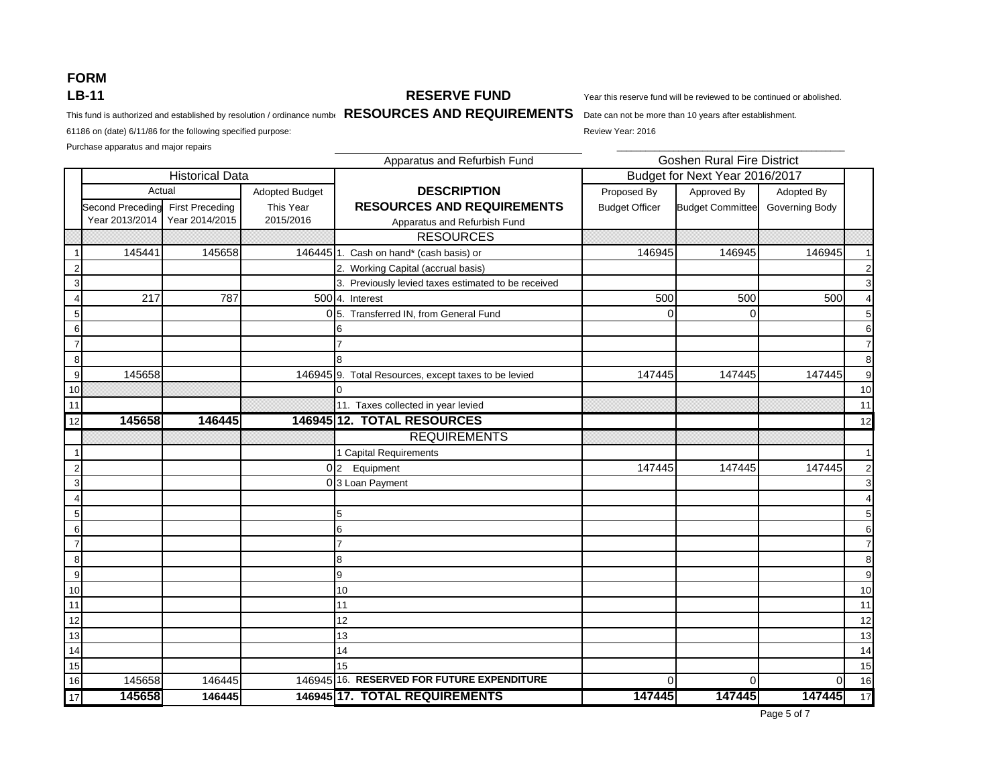# **FORM LB-11**

Purchase apparatus and major repairs

#### **RESERVE FUND**

Year this reserve fund will be reviewed to be continued or abolished.

This fund is authorized and established by resolution / ordinance numbe Date R**ESOURCES AND REQUIREMENTS** Date can not be more than 10 years after establishment.

61186 on (date) 6/11/86 for the following specified purpose: Review Year: 2016

Apparatus and Refurbish Fund Adopted Budget **DESCRIPTION** Proposed By Approved By Adopted By Second Preceding First Preceding This Year **RESOURCES AND REQUIREMENTS** Budget Officer Budget Committee Governing Body Year 2013/2014 Year 2014/2015 2015/2016 Apparatus and Refurbish Fund **RESOURCES** 1145441 145658 146445 1. Cash on hand\* (cash basis) or 146945 146945 146945 146945 146945 2 2. Working Capital (accrual basis) 2 3 3. Previously levied taxes estimated to be received 3 44 217 787 50014. Interest 500 500 500 4 5 0 5. Transferred IN, from General Fund 0 0 5 6 6 6 7 7 7 8 8 8 9145658 147445 146945 9. Total Resources, except taxes to be levied 147445 147445 147445 147445 147445 10 0 10 1111. Taxes collected in year levied **11. The set of the set of the set of the set of the set of the set of the set of the set of the set of the set of the set of the set of the set of the set of the set of the set of the se** 12 **145658 146445 146945 12. TOTAL RESOURCES** $\mathbf S$  12 REQUIREMENTS1 Capital Requirements and the control of the control of the control of the control of the control of the control of the control of the control of the control of the control of the control of the control of the control of 2 0 2 Equipment 147445 147445 147445 2 3 0 3 Loan Payment 3 4 4 5 5 5 6 6 6 7 7 7 8 8 8 9 9 9 10 10 10 11 11 11 12 12 12 13 13 13 14 14 14 15 15 15 166 145658 146445 146945 146945 16. **RESERVED FOR FUTURE EXPENDITURE** 1 00 0 0 0 0 16 17 **145658 146445 146945 17. TOTAL REQUIREMENTS 147445 147445 147445** 17 Goshen Rural Fire District Historical Data **Budget for Next Year 2016/2017** Actual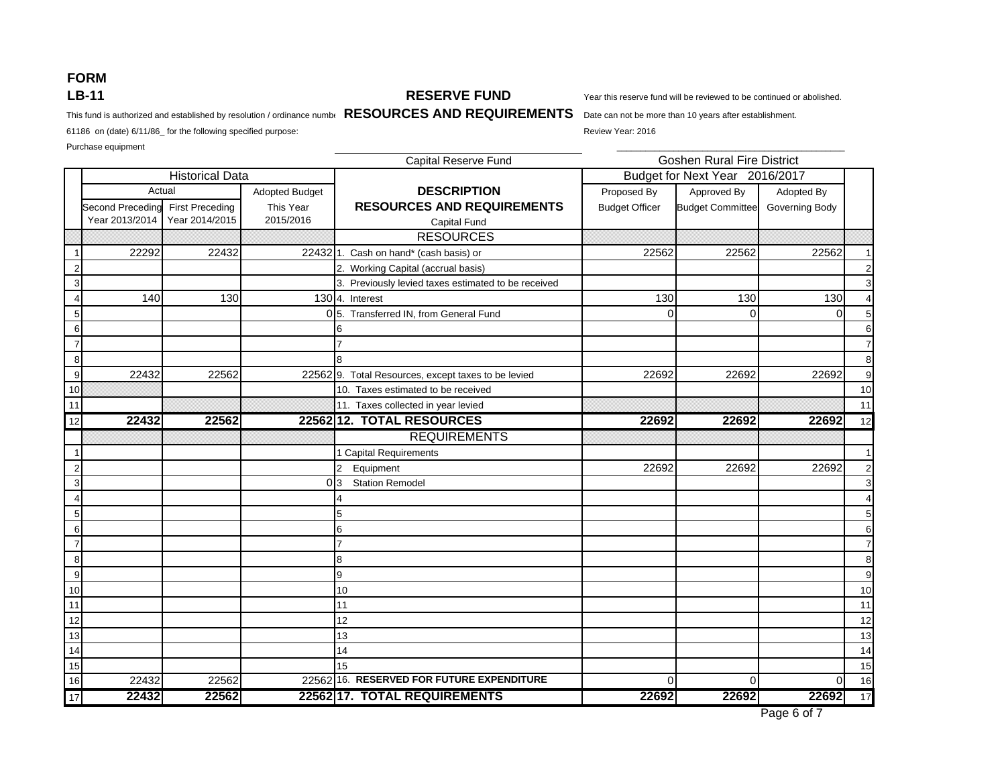# **FORM LB-11**

#### **RESERVE FUND**

Purchase equipment \_\_\_\_\_\_\_\_\_\_\_\_\_\_\_\_\_\_\_\_\_\_\_\_\_\_\_\_\_\_\_\_\_\_\_\_\_\_\_\_\_\_\_\_\_\_\_\_

Year this reserve fund will be reviewed to be continued or abolished.

This fund is authorized and established by resolution / ordinance numbe Date R**ESOURCES AND REQUIREMENTS** Date can not be more than 10 years after establishment.

61186 on (date) 6/11/86\_ for the following specified purpose: Review Year: 2016

Capital Reserve Fund Adopted Budget **DESCRIPTION** Proposed By Approved By Adopted By Second Preceding First Preceding This Year **RESOURCES AND REQUIREMENTS** Budget Officer Budget Committee Governing Body Year 2013/2014 Year 2014/2015 2015/2016 Capital Fund **RESOURCES** 122292 222432 22432 22432 1. Cash on hand\* (cash basis) or 22562 22562 22562 22562 22562 2 2. Norting Capital (accrual basis) 2. Norting Capital (accrual basis) 2. 2. Norting Capital (accrual basis) 3. Previously levied taxes estimated to be received and the state of the state of the state of the state of the state of the state of the state of the state of the state of the state of the state of the state of the state 4 140 130 130 4. Interest 130 130 130 4 5 0 5. Transferred IN, from General Fund 00 0 5 6 6 6 7 7 7 8 8 8 922432 22562 22562 22562 9. Total Resources, except taxes to be levied 22692 22692 22692 22692 22692 10 10. Taxes estimated to be received 10 11 **11 11.** Taxes collected in year levied 11. Taxes collected in year levied 11. 12 **22432 22562 22562 12. TOTAL RESOURCES 22692 22692 22692** 12 REQUIREMENTS1 Capital Requirements and the control of the control of the control of the control of the control of the control of the control of the control of the control of the control of the control of the control of the control of 2 2 Equipment 22692 22692 22692 2 3 0 3 Station Remodel 3 4 4 4 4 4 4 4 4 4  $\pm$  4 5 5 5 6 6 6 7 7 7 8 8 8 9 9 9 10 10 10 11 11 11 12 12 12 13 13 13 14 14 14 15 15 15 16 22432 22562 22562 16. **RESERVED FOR FUTURE EXPENDITURE** 00 0 16 17 **22432 22562 22562 17. TOTAL REQUIREMENTS 22692 22692 22692** 17 Goshen Rural Fire District Historical Data Budget for Next Year 2016/2017 Actual

Page 6 of 7